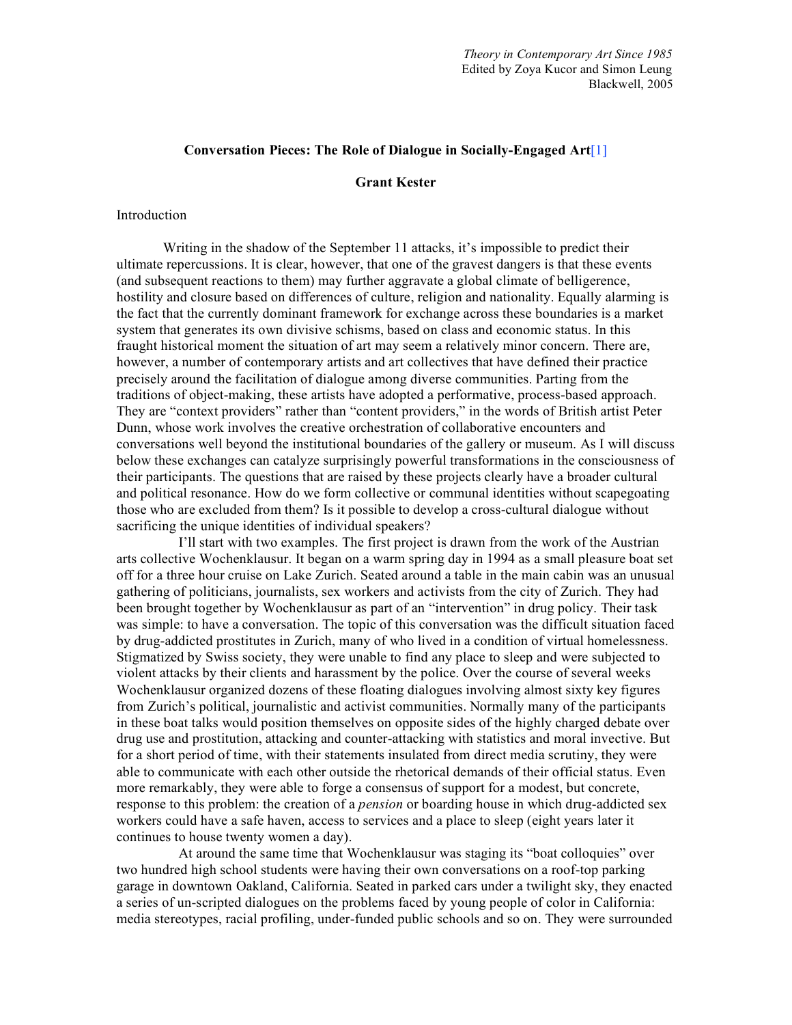#### **Conversation Pieces: The Role of Dialogue in Socially-Engaged Art**[1]

#### **Grant Kester**

#### Introduction

Writing in the shadow of the September 11 attacks, it's impossible to predict their ultimate repercussions. It is clear, however, that one of the gravest dangers is that these events (and subsequent reactions to them) may further aggravate a global climate of belligerence, hostility and closure based on differences of culture, religion and nationality. Equally alarming is the fact that the currently dominant framework for exchange across these boundaries is a market system that generates its own divisive schisms, based on class and economic status. In this fraught historical moment the situation of art may seem a relatively minor concern. There are, however, a number of contemporary artists and art collectives that have defined their practice precisely around the facilitation of dialogue among diverse communities. Parting from the traditions of object-making, these artists have adopted a performative, process-based approach. They are "context providers" rather than "content providers," in the words of British artist Peter Dunn, whose work involves the creative orchestration of collaborative encounters and conversations well beyond the institutional boundaries of the gallery or museum. As I will discuss below these exchanges can catalyze surprisingly powerful transformations in the consciousness of their participants. The questions that are raised by these projects clearly have a broader cultural and political resonance. How do we form collective or communal identities without scapegoating those who are excluded from them? Is it possible to develop a cross-cultural dialogue without sacrificing the unique identities of individual speakers?

I'll start with two examples. The first project is drawn from the work of the Austrian arts collective Wochenklausur. It began on a warm spring day in 1994 as a small pleasure boat set off for a three hour cruise on Lake Zurich. Seated around a table in the main cabin was an unusual gathering of politicians, journalists, sex workers and activists from the city of Zurich. They had been brought together by Wochenklausur as part of an "intervention" in drug policy. Their task was simple: to have a conversation. The topic of this conversation was the difficult situation faced by drug-addicted prostitutes in Zurich, many of who lived in a condition of virtual homelessness. Stigmatized by Swiss society, they were unable to find any place to sleep and were subjected to violent attacks by their clients and harassment by the police. Over the course of several weeks Wochenklausur organized dozens of these floating dialogues involving almost sixty key figures from Zurich's political, journalistic and activist communities. Normally many of the participants in these boat talks would position themselves on opposite sides of the highly charged debate over drug use and prostitution, attacking and counter-attacking with statistics and moral invective. But for a short period of time, with their statements insulated from direct media scrutiny, they were able to communicate with each other outside the rhetorical demands of their official status. Even more remarkably, they were able to forge a consensus of support for a modest, but concrete, response to this problem: the creation of a *pension* or boarding house in which drug-addicted sex workers could have a safe haven, access to services and a place to sleep (eight years later it continues to house twenty women a day).

At around the same time that Wochenklausur was staging its "boat colloquies" over two hundred high school students were having their own conversations on a roof-top parking garage in downtown Oakland, California. Seated in parked cars under a twilight sky, they enacted a series of un-scripted dialogues on the problems faced by young people of color in California: media stereotypes, racial profiling, under-funded public schools and so on. They were surrounded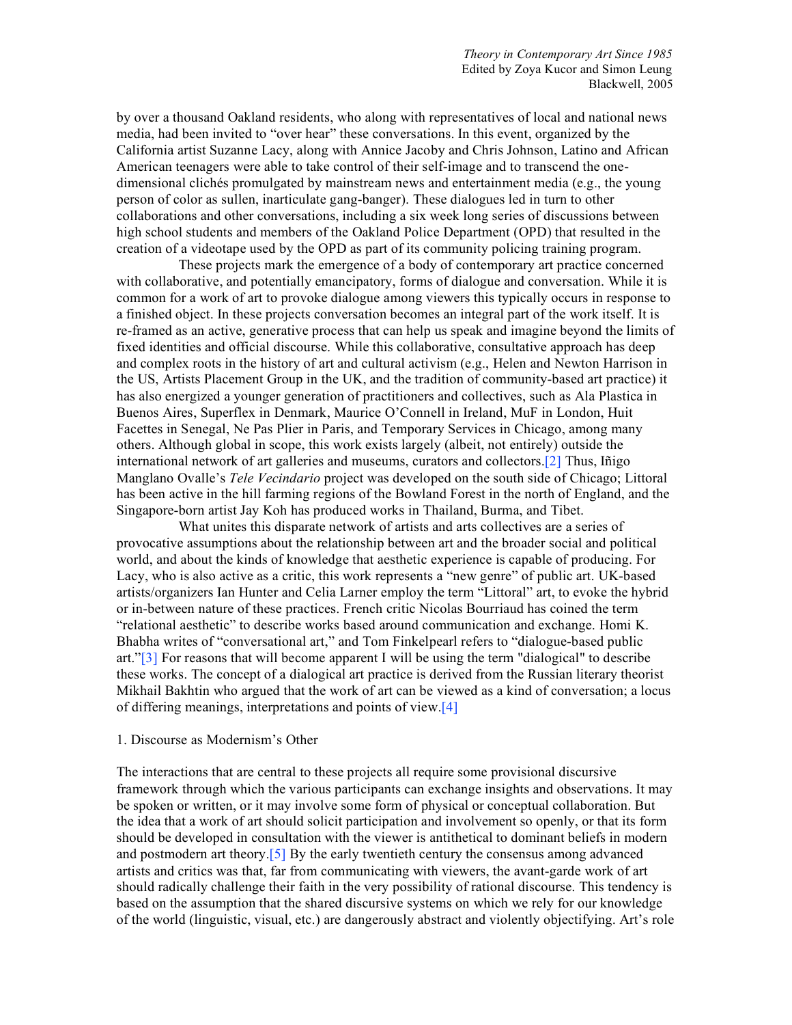by over a thousand Oakland residents, who along with representatives of local and national news media, had been invited to "over hear" these conversations. In this event, organized by the California artist Suzanne Lacy, along with Annice Jacoby and Chris Johnson, Latino and African American teenagers were able to take control of their self-image and to transcend the onedimensional clichés promulgated by mainstream news and entertainment media (e.g., the young person of color as sullen, inarticulate gang-banger). These dialogues led in turn to other collaborations and other conversations, including a six week long series of discussions between high school students and members of the Oakland Police Department (OPD) that resulted in the creation of a videotape used by the OPD as part of its community policing training program.

These projects mark the emergence of a body of contemporary art practice concerned with collaborative, and potentially emancipatory, forms of dialogue and conversation. While it is common for a work of art to provoke dialogue among viewers this typically occurs in response to a finished object. In these projects conversation becomes an integral part of the work itself. It is re-framed as an active, generative process that can help us speak and imagine beyond the limits of fixed identities and official discourse. While this collaborative, consultative approach has deep and complex roots in the history of art and cultural activism (e.g., Helen and Newton Harrison in the US, Artists Placement Group in the UK, and the tradition of community-based art practice) it has also energized a younger generation of practitioners and collectives, such as Ala Plastica in Buenos Aires, Superflex in Denmark, Maurice O'Connell in Ireland, MuF in London, Huit Facettes in Senegal, Ne Pas Plier in Paris, and Temporary Services in Chicago, among many others. Although global in scope, this work exists largely (albeit, not entirely) outside the international network of art galleries and museums, curators and collectors.[2] Thus, Iñigo Manglano Ovalle's *Tele Vecindario* project was developed on the south side of Chicago; Littoral has been active in the hill farming regions of the Bowland Forest in the north of England, and the Singapore-born artist Jay Koh has produced works in Thailand, Burma, and Tibet.

What unites this disparate network of artists and arts collectives are a series of provocative assumptions about the relationship between art and the broader social and political world, and about the kinds of knowledge that aesthetic experience is capable of producing. For Lacy, who is also active as a critic, this work represents a "new genre" of public art. UK-based artists/organizers Ian Hunter and Celia Larner employ the term "Littoral" art, to evoke the hybrid or in-between nature of these practices. French critic Nicolas Bourriaud has coined the term "relational aesthetic" to describe works based around communication and exchange. Homi K. Bhabha writes of "conversational art," and Tom Finkelpearl refers to "dialogue-based public art."[3] For reasons that will become apparent I will be using the term "dialogical" to describe these works. The concept of a dialogical art practice is derived from the Russian literary theorist Mikhail Bakhtin who argued that the work of art can be viewed as a kind of conversation; a locus of differing meanings, interpretations and points of view.[4]

# 1. Discourse as Modernism's Other

The interactions that are central to these projects all require some provisional discursive framework through which the various participants can exchange insights and observations. It may be spoken or written, or it may involve some form of physical or conceptual collaboration. But the idea that a work of art should solicit participation and involvement so openly, or that its form should be developed in consultation with the viewer is antithetical to dominant beliefs in modern and postmodern art theory.[5] By the early twentieth century the consensus among advanced artists and critics was that, far from communicating with viewers, the avant-garde work of art should radically challenge their faith in the very possibility of rational discourse. This tendency is based on the assumption that the shared discursive systems on which we rely for our knowledge of the world (linguistic, visual, etc.) are dangerously abstract and violently objectifying. Art's role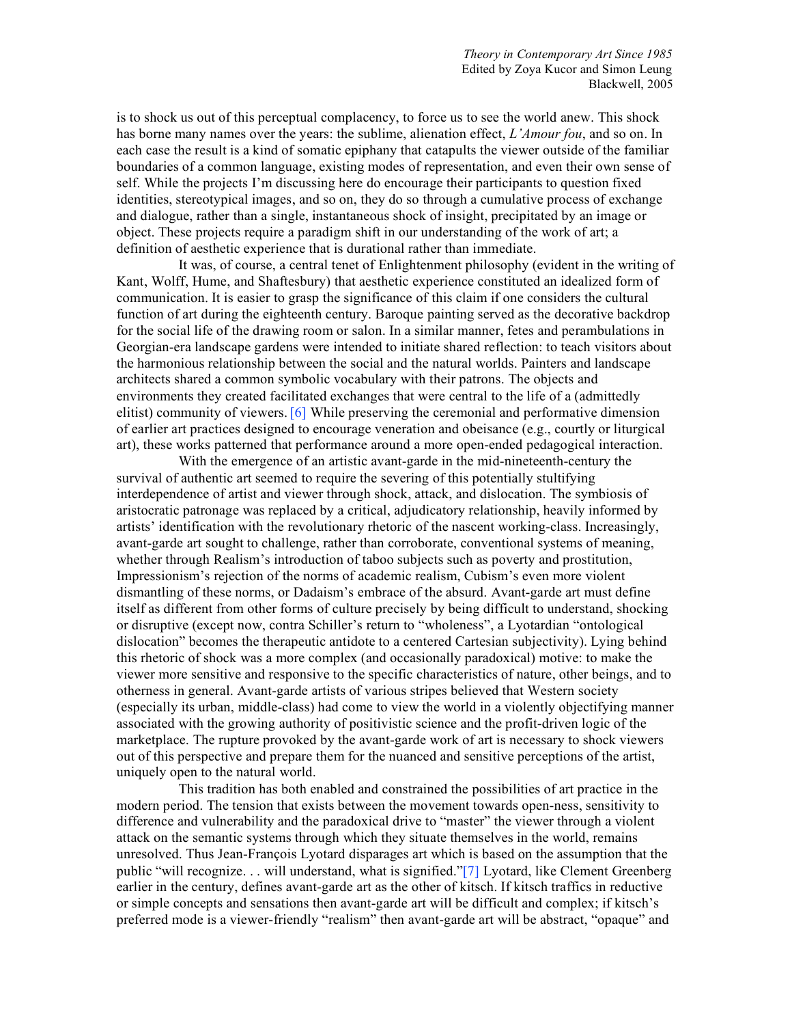is to shock us out of this perceptual complacency, to force us to see the world anew. This shock has borne many names over the years: the sublime, alienation effect, *L'Amour fou*, and so on. In each case the result is a kind of somatic epiphany that catapults the viewer outside of the familiar boundaries of a common language, existing modes of representation, and even their own sense of self. While the projects I'm discussing here do encourage their participants to question fixed identities, stereotypical images, and so on, they do so through a cumulative process of exchange and dialogue, rather than a single, instantaneous shock of insight, precipitated by an image or object. These projects require a paradigm shift in our understanding of the work of art; a definition of aesthetic experience that is durational rather than immediate.

It was, of course, a central tenet of Enlightenment philosophy (evident in the writing of Kant, Wolff, Hume, and Shaftesbury) that aesthetic experience constituted an idealized form of communication. It is easier to grasp the significance of this claim if one considers the cultural function of art during the eighteenth century. Baroque painting served as the decorative backdrop for the social life of the drawing room or salon. In a similar manner, fetes and perambulations in Georgian-era landscape gardens were intended to initiate shared reflection: to teach visitors about the harmonious relationship between the social and the natural worlds. Painters and landscape architects shared a common symbolic vocabulary with their patrons. The objects and environments they created facilitated exchanges that were central to the life of a (admittedly elitist) community of viewers. [6] While preserving the ceremonial and performative dimension of earlier art practices designed to encourage veneration and obeisance (e.g., courtly or liturgical art), these works patterned that performance around a more open-ended pedagogical interaction.

With the emergence of an artistic avant-garde in the mid-nineteenth-century the survival of authentic art seemed to require the severing of this potentially stultifying interdependence of artist and viewer through shock, attack, and dislocation. The symbiosis of aristocratic patronage was replaced by a critical, adjudicatory relationship, heavily informed by artists' identification with the revolutionary rhetoric of the nascent working-class. Increasingly, avant-garde art sought to challenge, rather than corroborate, conventional systems of meaning, whether through Realism's introduction of taboo subjects such as poverty and prostitution, Impressionism's rejection of the norms of academic realism, Cubism's even more violent dismantling of these norms, or Dadaism's embrace of the absurd. Avant-garde art must define itself as different from other forms of culture precisely by being difficult to understand, shocking or disruptive (except now, contra Schiller's return to "wholeness", a Lyotardian "ontological dislocation" becomes the therapeutic antidote to a centered Cartesian subjectivity). Lying behind this rhetoric of shock was a more complex (and occasionally paradoxical) motive: to make the viewer more sensitive and responsive to the specific characteristics of nature, other beings, and to otherness in general. Avant-garde artists of various stripes believed that Western society (especially its urban, middle-class) had come to view the world in a violently objectifying manner associated with the growing authority of positivistic science and the profit-driven logic of the marketplace. The rupture provoked by the avant-garde work of art is necessary to shock viewers out of this perspective and prepare them for the nuanced and sensitive perceptions of the artist, uniquely open to the natural world.

This tradition has both enabled and constrained the possibilities of art practice in the modern period. The tension that exists between the movement towards open-ness, sensitivity to difference and vulnerability and the paradoxical drive to "master" the viewer through a violent attack on the semantic systems through which they situate themselves in the world, remains unresolved. Thus Jean-François Lyotard disparages art which is based on the assumption that the public "will recognize. . . will understand, what is signified."[7] Lyotard, like Clement Greenberg earlier in the century, defines avant-garde art as the other of kitsch. If kitsch traffics in reductive or simple concepts and sensations then avant-garde art will be difficult and complex; if kitsch's preferred mode is a viewer-friendly "realism" then avant-garde art will be abstract, "opaque" and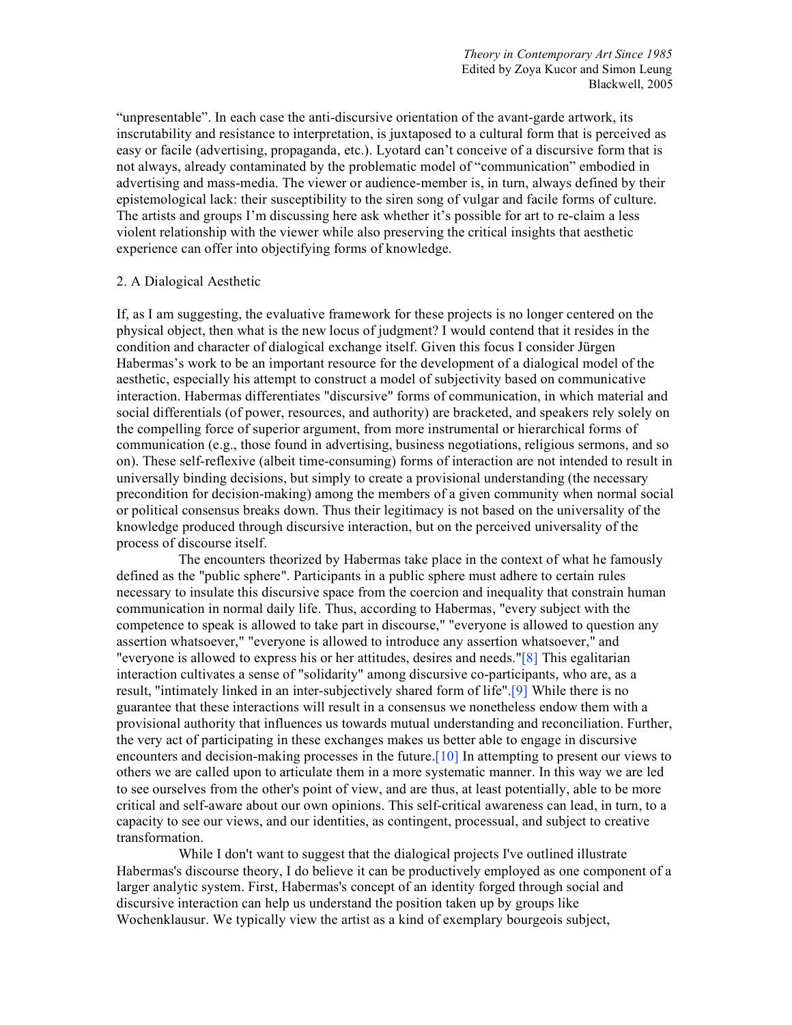"unpresentable". In each case the anti-discursive orientation of the avant-garde artwork, its inscrutability and resistance to interpretation, is juxtaposed to a cultural form that is perceived as easy or facile (advertising, propaganda, etc.). Lyotard can't conceive of a discursive form that is not always, already contaminated by the problematic model of "communication" embodied in advertising and mass-media. The viewer or audience-member is, in turn, always defined by their epistemological lack: their susceptibility to the siren song of vulgar and facile forms of culture. The artists and groups I'm discussing here ask whether it's possible for art to re-claim a less violent relationship with the viewer while also preserving the critical insights that aesthetic experience can offer into objectifying forms of knowledge.

# 2. A Dialogical Aesthetic

If, as I am suggesting, the evaluative framework for these projects is no longer centered on the physical object, then what is the new locus of judgment? I would contend that it resides in the condition and character of dialogical exchange itself. Given this focus I consider Jürgen Habermas's work to be an important resource for the development of a dialogical model of the aesthetic, especially his attempt to construct a model of subjectivity based on communicative interaction. Habermas differentiates "discursive" forms of communication, in which material and social differentials (of power, resources, and authority) are bracketed, and speakers rely solely on the compelling force of superior argument, from more instrumental or hierarchical forms of communication (e.g., those found in advertising, business negotiations, religious sermons, and so on). These self-reflexive (albeit time-consuming) forms of interaction are not intended to result in universally binding decisions, but simply to create a provisional understanding (the necessary precondition for decision-making) among the members of a given community when normal social or political consensus breaks down. Thus their legitimacy is not based on the universality of the knowledge produced through discursive interaction, but on the perceived universality of the process of discourse itself.

The encounters theorized by Habermas take place in the context of what he famously defined as the "public sphere". Participants in a public sphere must adhere to certain rules necessary to insulate this discursive space from the coercion and inequality that constrain human communication in normal daily life. Thus, according to Habermas, "every subject with the competence to speak is allowed to take part in discourse," "everyone is allowed to question any assertion whatsoever," "everyone is allowed to introduce any assertion whatsoever," and "everyone is allowed to express his or her attitudes, desires and needs."[8] This egalitarian interaction cultivates a sense of "solidarity" among discursive co-participants, who are, as a result, "intimately linked in an inter-subjectively shared form of life".[9] While there is no guarantee that these interactions will result in a consensus we nonetheless endow them with a provisional authority that influences us towards mutual understanding and reconciliation. Further, the very act of participating in these exchanges makes us better able to engage in discursive encounters and decision-making processes in the future.  $[10]$  In attempting to present our views to others we are called upon to articulate them in a more systematic manner. In this way we are led to see ourselves from the other's point of view, and are thus, at least potentially, able to be more critical and self-aware about our own opinions. This self-critical awareness can lead, in turn, to a capacity to see our views, and our identities, as contingent, processual, and subject to creative transformation.

While I don't want to suggest that the dialogical projects I've outlined illustrate Habermas's discourse theory, I do believe it can be productively employed as one component of a larger analytic system. First, Habermas's concept of an identity forged through social and discursive interaction can help us understand the position taken up by groups like Wochenklausur. We typically view the artist as a kind of exemplary bourgeois subject,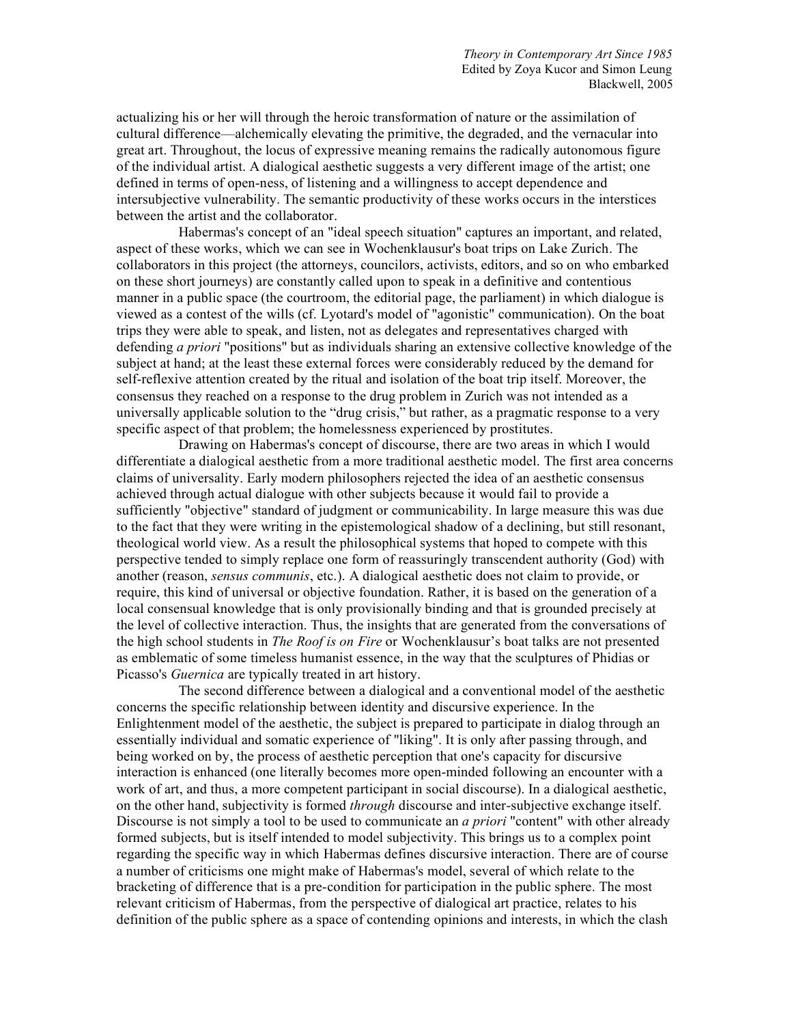actualizing his or her will through the heroic transformation of nature or the assimilation of cultural difference—alchemically elevating the primitive, the degraded, and the vernacular into great art. Throughout, the locus of expressive meaning remains the radically autonomous figure of the individual artist. A dialogical aesthetic suggests a very different image of the artist; one defined in terms of open-ness, of listening and a willingness to accept dependence and intersubjective vulnerability. The semantic productivity of these works occurs in the interstices between the artist and the collaborator.

Habermas's concept of an "ideal speech situation" captures an important, and related, aspect of these works, which we can see in Wochenklausur's boat trips on Lake Zurich. The collaborators in this project (the attorneys, councilors, activists, editors, and so on who embarked on these short journeys) are constantly called upon to speak in a definitive and contentious manner in a public space (the courtroom, the editorial page, the parliament) in which dialogue is viewed as a contest of the wills (cf. Lyotard's model of "agonistic" communication). On the boat trips they were able to speak, and listen, not as delegates and representatives charged with defending *a priori* "positions" but as individuals sharing an extensive collective knowledge of the subject at hand; at the least these external forces were considerably reduced by the demand for self-reflexive attention created by the ritual and isolation of the boat trip itself. Moreover, the consensus they reached on a response to the drug problem in Zurich was not intended as a universally applicable solution to the "drug crisis," but rather, as a pragmatic response to a very specific aspect of that problem; the homelessness experienced by prostitutes.

Drawing on Habermas's concept of discourse, there are two areas in which I would differentiate a dialogical aesthetic from a more traditional aesthetic model. The first area concerns claims of universality. Early modern philosophers rejected the idea of an aesthetic consensus achieved through actual dialogue with other subjects because it would fail to provide a sufficiently "objective" standard of judgment or communicability. In large measure this was due to the fact that they were writing in the epistemological shadow of a declining, but still resonant, theological world view. As a result the philosophical systems that hoped to compete with this perspective tended to simply replace one form of reassuringly transcendent authority (God) with another (reason, *sensus communis*, etc.). A dialogical aesthetic does not claim to provide, or require, this kind of universal or objective foundation. Rather, it is based on the generation of a local consensual knowledge that is only provisionally binding and that is grounded precisely at the level of collective interaction. Thus, the insights that are generated from the conversations of the high school students in *The Roof is on Fire* or Wochenklausur's boat talks are not presented as emblematic of some timeless humanist essence, in the way that the sculptures of Phidias or Picasso's *Guernica* are typically treated in art history.

The second difference between a dialogical and a conventional model of the aesthetic concerns the specific relationship between identity and discursive experience. In the Enlightenment model of the aesthetic, the subject is prepared to participate in dialog through an essentially individual and somatic experience of "liking". It is only after passing through, and being worked on by, the process of aesthetic perception that one's capacity for discursive interaction is enhanced (one literally becomes more open-minded following an encounter with a work of art, and thus, a more competent participant in social discourse). In a dialogical aesthetic, on the other hand, subjectivity is formed *through* discourse and inter-subjective exchange itself. Discourse is not simply a tool to be used to communicate an *a priori* "content" with other already formed subjects, but is itself intended to model subjectivity. This brings us to a complex point regarding the specific way in which Habermas defines discursive interaction. There are of course a number of criticisms one might make of Habermas's model, several of which relate to the bracketing of difference that is a pre-condition for participation in the public sphere. The most relevant criticism of Habermas, from the perspective of dialogical art practice, relates to his definition of the public sphere as a space of contending opinions and interests, in which the clash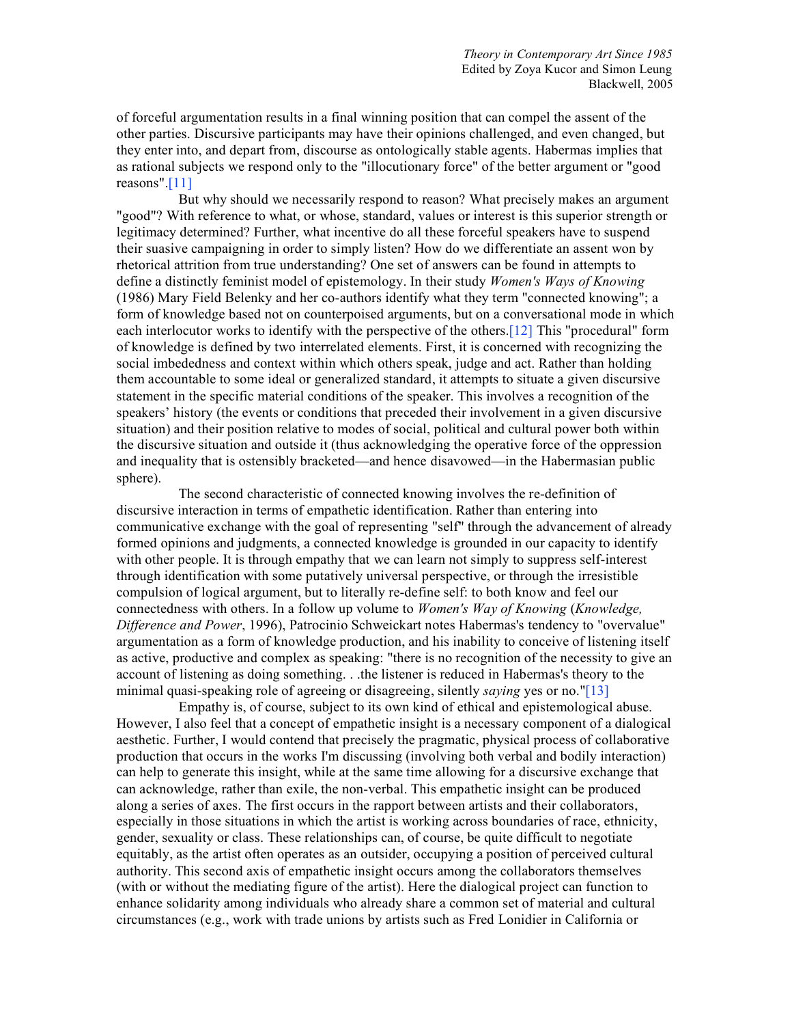of forceful argumentation results in a final winning position that can compel the assent of the other parties. Discursive participants may have their opinions challenged, and even changed, but they enter into, and depart from, discourse as ontologically stable agents. Habermas implies that as rational subjects we respond only to the "illocutionary force" of the better argument or "good reasons".[11]

But why should we necessarily respond to reason? What precisely makes an argument "good"? With reference to what, or whose, standard, values or interest is this superior strength or legitimacy determined? Further, what incentive do all these forceful speakers have to suspend their suasive campaigning in order to simply listen? How do we differentiate an assent won by rhetorical attrition from true understanding? One set of answers can be found in attempts to define a distinctly feminist model of epistemology. In their study *Women's Ways of Knowing* (1986) Mary Field Belenky and her co-authors identify what they term "connected knowing"; a form of knowledge based not on counterpoised arguments, but on a conversational mode in which each interlocutor works to identify with the perspective of the others.[12] This "procedural" form of knowledge is defined by two interrelated elements. First, it is concerned with recognizing the social imbededness and context within which others speak, judge and act. Rather than holding them accountable to some ideal or generalized standard, it attempts to situate a given discursive statement in the specific material conditions of the speaker. This involves a recognition of the speakers' history (the events or conditions that preceded their involvement in a given discursive situation) and their position relative to modes of social, political and cultural power both within the discursive situation and outside it (thus acknowledging the operative force of the oppression and inequality that is ostensibly bracketed—and hence disavowed—in the Habermasian public sphere).

The second characteristic of connected knowing involves the re-definition of discursive interaction in terms of empathetic identification. Rather than entering into communicative exchange with the goal of representing "self" through the advancement of already formed opinions and judgments, a connected knowledge is grounded in our capacity to identify with other people. It is through empathy that we can learn not simply to suppress self-interest through identification with some putatively universal perspective, or through the irresistible compulsion of logical argument, but to literally re-define self: to both know and feel our connectedness with others. In a follow up volume to *Women's Way of Knowing* (*Knowledge, Difference and Power*, 1996), Patrocinio Schweickart notes Habermas's tendency to "overvalue" argumentation as a form of knowledge production, and his inability to conceive of listening itself as active, productive and complex as speaking: "there is no recognition of the necessity to give an account of listening as doing something. . .the listener is reduced in Habermas's theory to the minimal quasi-speaking role of agreeing or disagreeing, silently *saying* yes or no."[13]

Empathy is, of course, subject to its own kind of ethical and epistemological abuse. However, I also feel that a concept of empathetic insight is a necessary component of a dialogical aesthetic. Further, I would contend that precisely the pragmatic, physical process of collaborative production that occurs in the works I'm discussing (involving both verbal and bodily interaction) can help to generate this insight, while at the same time allowing for a discursive exchange that can acknowledge, rather than exile, the non-verbal. This empathetic insight can be produced along a series of axes. The first occurs in the rapport between artists and their collaborators, especially in those situations in which the artist is working across boundaries of race, ethnicity, gender, sexuality or class. These relationships can, of course, be quite difficult to negotiate equitably, as the artist often operates as an outsider, occupying a position of perceived cultural authority. This second axis of empathetic insight occurs among the collaborators themselves (with or without the mediating figure of the artist). Here the dialogical project can function to enhance solidarity among individuals who already share a common set of material and cultural circumstances (e.g., work with trade unions by artists such as Fred Lonidier in California or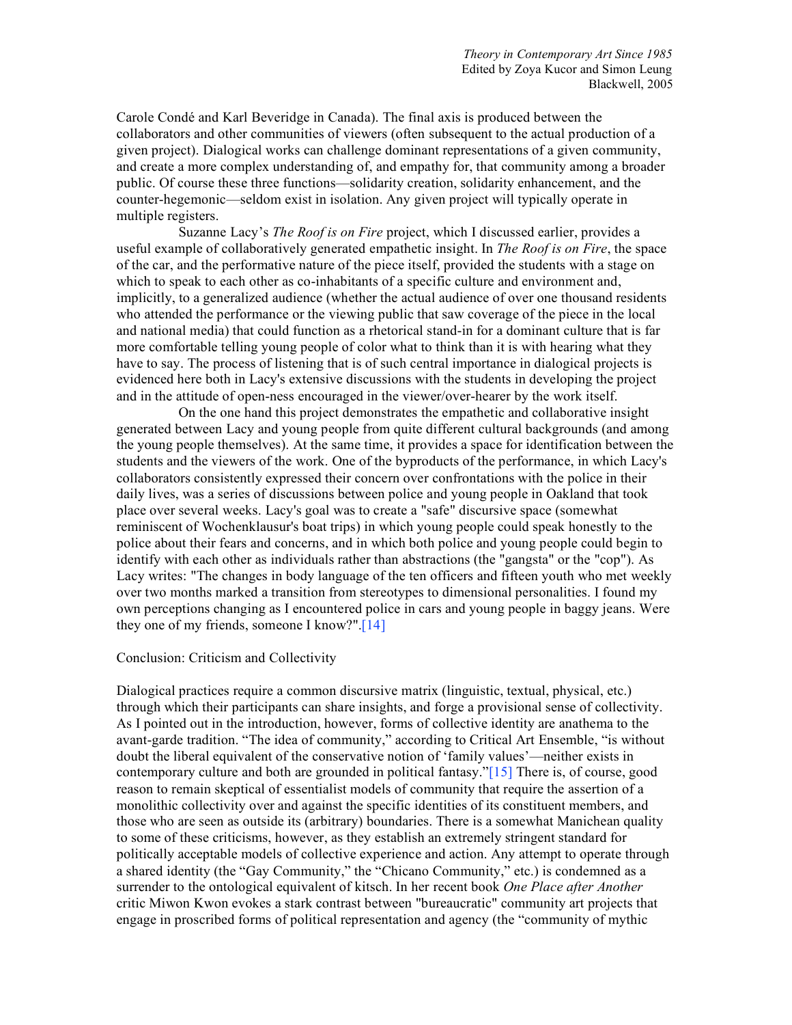*Theory in Contemporary Art Since 1985* Edited by Zoya Kucor and Simon Leung Blackwell, 2005

Carole Condé and Karl Beveridge in Canada). The final axis is produced between the collaborators and other communities of viewers (often subsequent to the actual production of a given project). Dialogical works can challenge dominant representations of a given community, and create a more complex understanding of, and empathy for, that community among a broader public. Of course these three functions—solidarity creation, solidarity enhancement, and the counter-hegemonic—seldom exist in isolation. Any given project will typically operate in multiple registers.

Suzanne Lacy's *The Roof is on Fire* project, which I discussed earlier, provides a useful example of collaboratively generated empathetic insight. In *The Roof is on Fire*, the space of the car, and the performative nature of the piece itself, provided the students with a stage on which to speak to each other as co-inhabitants of a specific culture and environment and, implicitly, to a generalized audience (whether the actual audience of over one thousand residents who attended the performance or the viewing public that saw coverage of the piece in the local and national media) that could function as a rhetorical stand-in for a dominant culture that is far more comfortable telling young people of color what to think than it is with hearing what they have to say. The process of listening that is of such central importance in dialogical projects is evidenced here both in Lacy's extensive discussions with the students in developing the project and in the attitude of open-ness encouraged in the viewer/over-hearer by the work itself.

On the one hand this project demonstrates the empathetic and collaborative insight generated between Lacy and young people from quite different cultural backgrounds (and among the young people themselves). At the same time, it provides a space for identification between the students and the viewers of the work. One of the byproducts of the performance, in which Lacy's collaborators consistently expressed their concern over confrontations with the police in their daily lives, was a series of discussions between police and young people in Oakland that took place over several weeks. Lacy's goal was to create a "safe" discursive space (somewhat reminiscent of Wochenklausur's boat trips) in which young people could speak honestly to the police about their fears and concerns, and in which both police and young people could begin to identify with each other as individuals rather than abstractions (the "gangsta" or the "cop"). As Lacy writes: "The changes in body language of the ten officers and fifteen youth who met weekly over two months marked a transition from stereotypes to dimensional personalities. I found my own perceptions changing as I encountered police in cars and young people in baggy jeans. Were they one of my friends, someone I know?".[14]

## Conclusion: Criticism and Collectivity

Dialogical practices require a common discursive matrix (linguistic, textual, physical, etc.) through which their participants can share insights, and forge a provisional sense of collectivity. As I pointed out in the introduction, however, forms of collective identity are anathema to the avant-garde tradition. "The idea of community," according to Critical Art Ensemble, "is without doubt the liberal equivalent of the conservative notion of 'family values'—neither exists in contemporary culture and both are grounded in political fantasy."[15] There is, of course, good reason to remain skeptical of essentialist models of community that require the assertion of a monolithic collectivity over and against the specific identities of its constituent members, and those who are seen as outside its (arbitrary) boundaries. There is a somewhat Manichean quality to some of these criticisms, however, as they establish an extremely stringent standard for politically acceptable models of collective experience and action. Any attempt to operate through a shared identity (the "Gay Community," the "Chicano Community," etc.) is condemned as a surrender to the ontological equivalent of kitsch. In her recent book *One Place after Another* critic Miwon Kwon evokes a stark contrast between "bureaucratic" community art projects that engage in proscribed forms of political representation and agency (the "community of mythic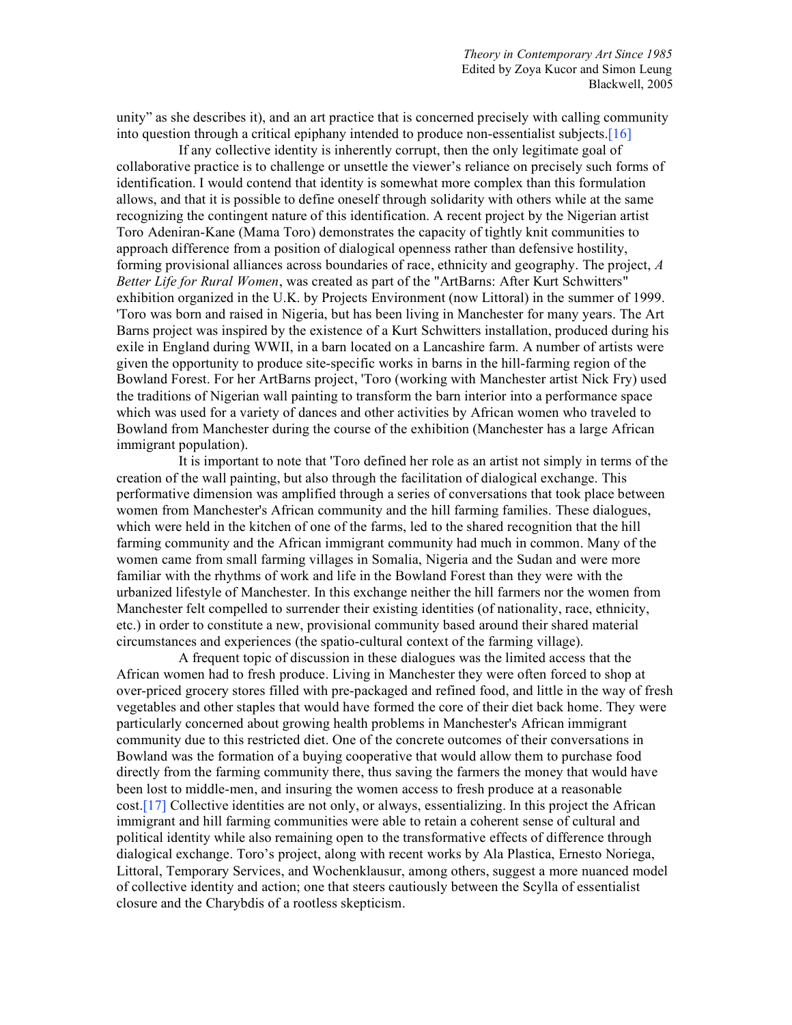unity" as she describes it), and an art practice that is concerned precisely with calling community into question through a critical epiphany intended to produce non-essentialist subjects.[16]

If any collective identity is inherently corrupt, then the only legitimate goal of collaborative practice is to challenge or unsettle the viewer's reliance on precisely such forms of identification. I would contend that identity is somewhat more complex than this formulation allows, and that it is possible to define oneself through solidarity with others while at the same recognizing the contingent nature of this identification. A recent project by the Nigerian artist Toro Adeniran-Kane (Mama Toro) demonstrates the capacity of tightly knit communities to approach difference from a position of dialogical openness rather than defensive hostility, forming provisional alliances across boundaries of race, ethnicity and geography. The project, *A Better Life for Rural Women*, was created as part of the "ArtBarns: After Kurt Schwitters" exhibition organized in the U.K. by Projects Environment (now Littoral) in the summer of 1999. 'Toro was born and raised in Nigeria, but has been living in Manchester for many years. The Art Barns project was inspired by the existence of a Kurt Schwitters installation, produced during his exile in England during WWII, in a barn located on a Lancashire farm. A number of artists were given the opportunity to produce site-specific works in barns in the hill-farming region of the Bowland Forest. For her ArtBarns project, 'Toro (working with Manchester artist Nick Fry) used the traditions of Nigerian wall painting to transform the barn interior into a performance space which was used for a variety of dances and other activities by African women who traveled to Bowland from Manchester during the course of the exhibition (Manchester has a large African immigrant population).

It is important to note that 'Toro defined her role as an artist not simply in terms of the creation of the wall painting, but also through the facilitation of dialogical exchange. This performative dimension was amplified through a series of conversations that took place between women from Manchester's African community and the hill farming families. These dialogues, which were held in the kitchen of one of the farms, led to the shared recognition that the hill farming community and the African immigrant community had much in common. Many of the women came from small farming villages in Somalia, Nigeria and the Sudan and were more familiar with the rhythms of work and life in the Bowland Forest than they were with the urbanized lifestyle of Manchester. In this exchange neither the hill farmers nor the women from Manchester felt compelled to surrender their existing identities (of nationality, race, ethnicity, etc.) in order to constitute a new, provisional community based around their shared material circumstances and experiences (the spatio-cultural context of the farming village).

A frequent topic of discussion in these dialogues was the limited access that the African women had to fresh produce. Living in Manchester they were often forced to shop at over-priced grocery stores filled with pre-packaged and refined food, and little in the way of fresh vegetables and other staples that would have formed the core of their diet back home. They were particularly concerned about growing health problems in Manchester's African immigrant community due to this restricted diet. One of the concrete outcomes of their conversations in Bowland was the formation of a buying cooperative that would allow them to purchase food directly from the farming community there, thus saving the farmers the money that would have been lost to middle-men, and insuring the women access to fresh produce at a reasonable cost.[17] Collective identities are not only, or always, essentializing. In this project the African immigrant and hill farming communities were able to retain a coherent sense of cultural and political identity while also remaining open to the transformative effects of difference through dialogical exchange. Toro's project, along with recent works by Ala Plastica, Ernesto Noriega, Littoral, Temporary Services, and Wochenklausur, among others, suggest a more nuanced model of collective identity and action; one that steers cautiously between the Scylla of essentialist closure and the Charybdis of a rootless skepticism.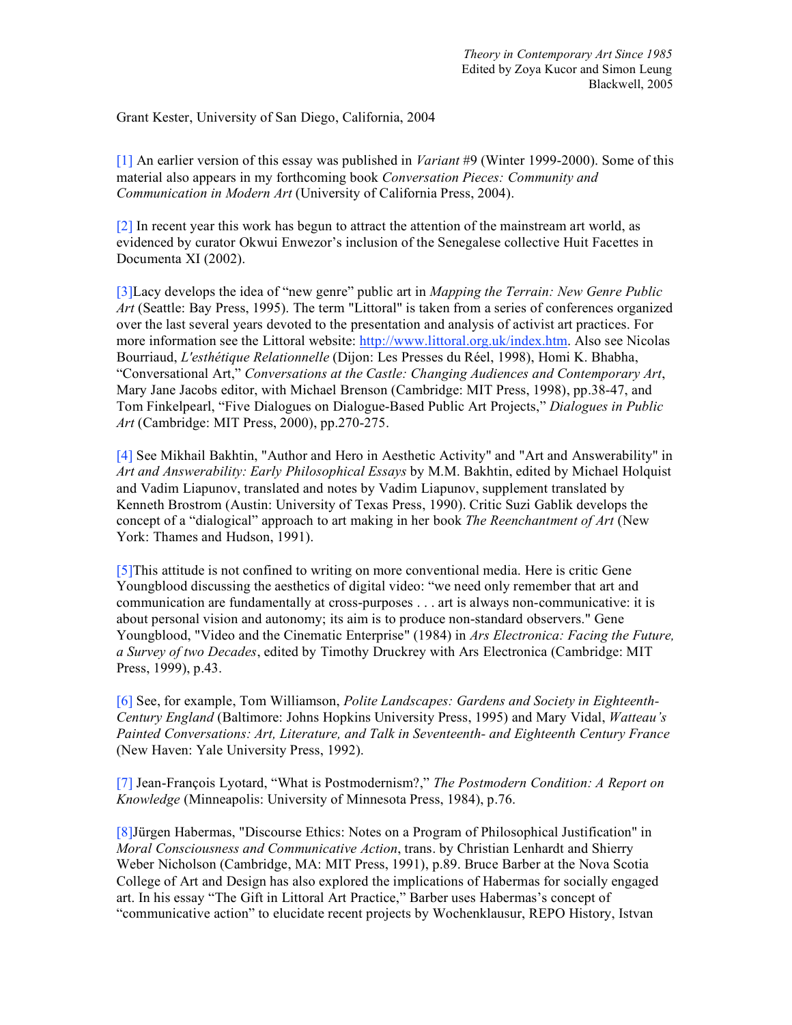Grant Kester, University of San Diego, California, 2004

[1] An earlier version of this essay was published in *Variant* #9 (Winter 1999-2000). Some of this material also appears in my forthcoming book *Conversation Pieces: Community and Communication in Modern Art* (University of California Press, 2004).

[2] In recent year this work has begun to attract the attention of the mainstream art world, as evidenced by curator Okwui Enwezor's inclusion of the Senegalese collective Huit Facettes in Documenta XI (2002).

[3]Lacy develops the idea of "new genre" public art in *Mapping the Terrain: New Genre Public Art* (Seattle: Bay Press, 1995). The term "Littoral" is taken from a series of conferences organized over the last several years devoted to the presentation and analysis of activist art practices. For more information see the Littoral website: http://www.littoral.org.uk/index.htm. Also see Nicolas Bourriaud, *L'esthétique Relationnelle* (Dijon: Les Presses du Réel, 1998), Homi K. Bhabha, "Conversational Art," *Conversations at the Castle: Changing Audiences and Contemporary Art*, Mary Jane Jacobs editor, with Michael Brenson (Cambridge: MIT Press, 1998), pp.38-47, and Tom Finkelpearl, "Five Dialogues on Dialogue-Based Public Art Projects," *Dialogues in Public Art* (Cambridge: MIT Press, 2000), pp.270-275.

[4] See Mikhail Bakhtin, "Author and Hero in Aesthetic Activity" and "Art and Answerability" in *Art and Answerability: Early Philosophical Essays* by M.M. Bakhtin, edited by Michael Holquist and Vadim Liapunov, translated and notes by Vadim Liapunov, supplement translated by Kenneth Brostrom (Austin: University of Texas Press, 1990). Critic Suzi Gablik develops the concept of a "dialogical" approach to art making in her book *The Reenchantment of Art* (New York: Thames and Hudson, 1991).

[5]This attitude is not confined to writing on more conventional media. Here is critic Gene Youngblood discussing the aesthetics of digital video: "we need only remember that art and communication are fundamentally at cross-purposes . . . art is always non-communicative: it is about personal vision and autonomy; its aim is to produce non-standard observers." Gene Youngblood, "Video and the Cinematic Enterprise" (1984) in *Ars Electronica: Facing the Future, a Survey of two Decades*, edited by Timothy Druckrey with Ars Electronica (Cambridge: MIT Press, 1999), p.43.

[6] See, for example, Tom Williamson, *Polite Landscapes: Gardens and Society in Eighteenth-Century England* (Baltimore: Johns Hopkins University Press, 1995) and Mary Vidal, *Watteau's Painted Conversations: Art, Literature, and Talk in Seventeenth- and Eighteenth Century France* (New Haven: Yale University Press, 1992).

[7] Jean-François Lyotard, "What is Postmodernism?," *The Postmodern Condition: A Report on Knowledge* (Minneapolis: University of Minnesota Press, 1984), p.76.

[8]Jürgen Habermas, "Discourse Ethics: Notes on a Program of Philosophical Justification" in *Moral Consciousness and Communicative Action*, trans. by Christian Lenhardt and Shierry Weber Nicholson (Cambridge, MA: MIT Press, 1991), p.89. Bruce Barber at the Nova Scotia College of Art and Design has also explored the implications of Habermas for socially engaged art. In his essay "The Gift in Littoral Art Practice," Barber uses Habermas's concept of "communicative action" to elucidate recent projects by Wochenklausur, REPO History, Istvan